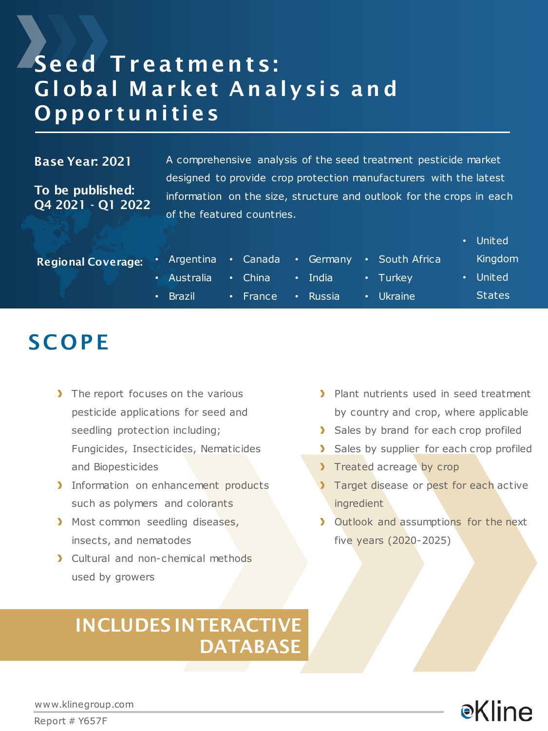### Seed Treatments: Gl obal M ar ket An alysis an d **Opportunities**

#### Base Year: 2021

To be published: Q4 2021 - Q1 2022 A comprehensive analysis of the seed treatment pesticide market designed to provide crop protection manufacturers with the latest information on the size, structure and outlook for the crops in each of the featured countries.

|                           |                     |                |             |               |                                             | • United      |
|---------------------------|---------------------|----------------|-------------|---------------|---------------------------------------------|---------------|
| <b>Regional Coverage:</b> |                     |                |             |               | Argentina • Canada • Germany • South Africa | Kingdom       |
|                           | • Australia • China |                |             | $\cdot$ India | $\cdot$ Turkey                              | United        |
|                           | $\cdot$ Brazil      | $\cdot$ France | $\bullet$ . | <b>Russia</b> | • Ukraine                                   | <b>States</b> |

### **SCOPE**

- The report focuses on the various pesticide applications for seed and seedling protection including; Fungicides, Insecticides, Nematicides and Biopesticides
- Information on enhancement products such as polymers and colorants
- Most common seedling diseases, insects, and nematodes
- Cultural and non-chemical methods used by growers

### INCLUDES INTERACTIVE DATABASE

- > Plant nutrients used in seed treatment by country and crop, where applicable
- > Sales by brand for each crop profiled
- > Sales by supplier for each crop profiled
- Treated acreage by crop
- Target disease or pest for each active ingredient
- **I** Outlook and assumptions for the next five years (2020-2025)



www.klinegroup.com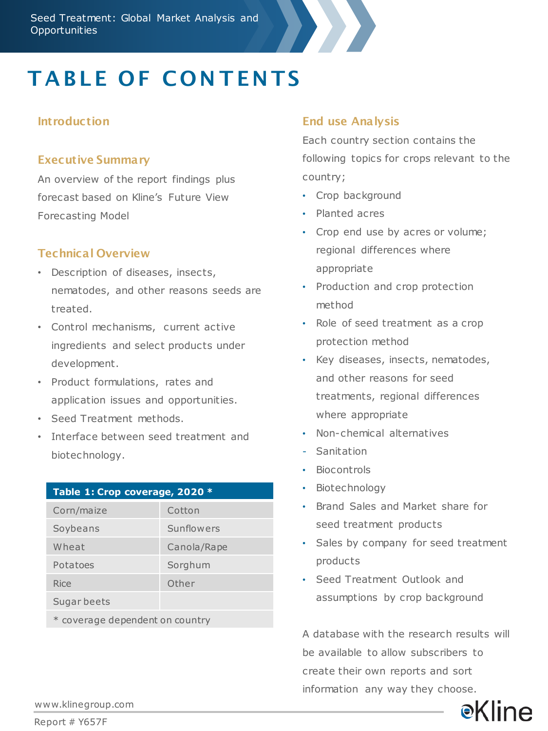

# **TABLE OF CONTENTS**

#### **Introduction**

#### Executive Summary

An overview of the report findings plus forecast based on Kline's Future View Forecasting Model

#### Technical Overview

- Description of diseases, insects, nematodes, and other reasons seeds are treated.
- Control mechanisms, current active ingredients and select products under development.
- Product formulations, rates and application issues and opportunities.
- Seed Treatment methods.
- Interface between seed treatment and biotechnology.

| Table 1: Crop coverage, 2020 *  |             |  |  |  |  |  |  |
|---------------------------------|-------------|--|--|--|--|--|--|
| Corn/maize                      | Cotton      |  |  |  |  |  |  |
| Soybeans                        | Sunflowers  |  |  |  |  |  |  |
| Wheat                           | Canola/Rape |  |  |  |  |  |  |
| Potatoes                        | Sorghum     |  |  |  |  |  |  |
| Rice                            | Other       |  |  |  |  |  |  |
| Sugar beets                     |             |  |  |  |  |  |  |
| * coverage dependent on country |             |  |  |  |  |  |  |

#### End use Analysis

Each country section contains the following topics for crops relevant to the country;

- Crop background
- Planted acres
- Crop end use by acres or volume; regional differences where appropriate
- Production and crop protection method
- Role of seed treatment as a crop protection method
- Key diseases, insects, nematodes, and other reasons for seed treatments, regional differences where appropriate
- Non-chemical alternatives
- Sanitation
- Biocontrols
- Biotechnology
- Brand Sales and Market share for seed treatment products
- Sales by company for seed treatment products
- Seed Treatment Outlook and assumptions by crop background

A database with the research results will be available to allow subscribers to create their own reports and sort information any way they choose.



www.klinegroup.com